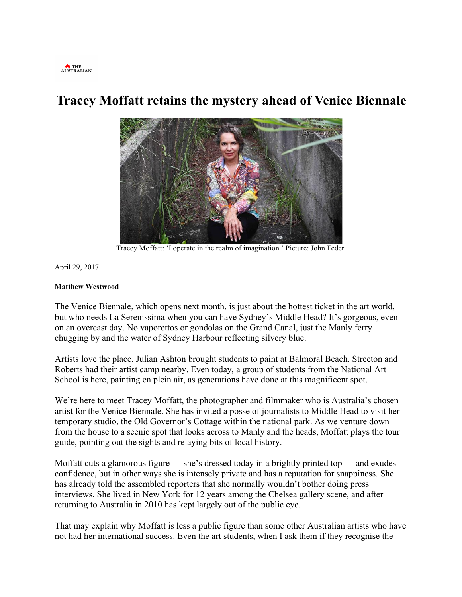

## **Tracey Moffatt retains the mystery ahead of Venice Biennale**



Tracey Moffatt: 'I operate in the realm of imagination.' Picture: John Feder.

April 29, 2017

## **Matthew Westwood**

The Venice Biennale, which opens next month, is just about the hottest ticket in the art world, but who needs La Serenissima when you can have Sydney's Middle Head? It's gorgeous, even on an overcast day. No vaporettos or gondolas on the Grand Canal, just the Manly ferry chugging by and the water of Sydney Harbour reflecting silvery blue.

Artists love the place. Julian Ashton brought students to paint at Balmoral Beach. Streeton and Roberts had their artist camp nearby. Even today, a group of students from the National Art School is here, painting en plein air, as generations have done at this magnificent spot.

We're here to meet Tracey Moffatt, the photographer and filmmaker who is Australia's chosen artist for the Venice Biennale. She has invited a posse of journalists to Middle Head to visit her temporary studio, the Old Governor's Cottage within the national park. As we venture down from the house to a scenic spot that looks across to Manly and the heads, Moffatt plays the tour guide, pointing out the sights and relaying bits of local history.

Moffatt cuts a glamorous figure — she's dressed today in a brightly printed top — and exudes confidence, but in other ways she is intensely private and has a reputation for snappiness. She has already told the assembled reporters that she normally wouldn't bother doing press interviews. She lived in New York for 12 years among the Chelsea gallery scene, and after returning to Australia in 2010 has kept largely out of the public eye.

That may explain why Moffatt is less a public figure than some other Australian artists who have not had her international success. Even the art students, when I ask them if they recognise the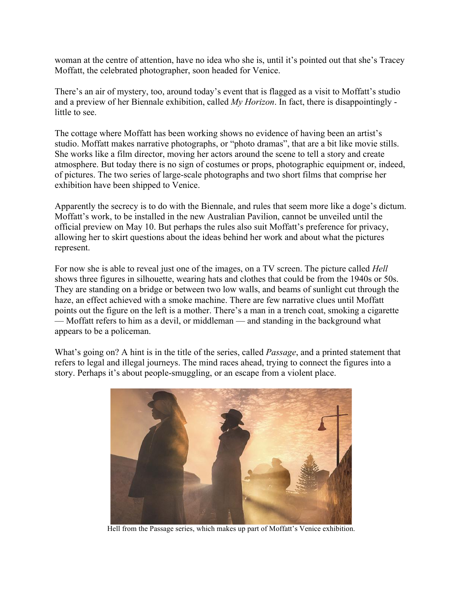woman at the centre of attention, have no idea who she is, until it's pointed out that she's Tracey Moffatt, the celebrated photographer, soon headed for Venice.

There's an air of mystery, too, around today's event that is flagged as a visit to Moffatt's studio and a preview of her Biennale exhibition, called *My Horizon*. In fact, there is disappointingly little to see.

The cottage where Moffatt has been working shows no evidence of having been an artist's studio. Moffatt makes narrative photographs, or "photo dramas", that are a bit like movie stills. She works like a film director, moving her actors around the scene to tell a story and create atmosphere. But today there is no sign of costumes or props, photographic equipment or, indeed, of pictures. The two series of large-scale photographs and two short films that comprise her exhibition have been shipped to Venice.

Apparently the secrecy is to do with the Biennale, and rules that seem more like a doge's dictum. Moffatt's work, to be installed in the new Australian Pavilion, cannot be unveiled until the official preview on May 10. But perhaps the rules also suit Moffatt's preference for privacy, allowing her to skirt questions about the ideas behind her work and about what the pictures represent.

For now she is able to reveal just one of the images, on a TV screen. The picture called *Hell* shows three figures in silhouette, wearing hats and clothes that could be from the 1940s or 50s. They are standing on a bridge or between two low walls, and beams of sunlight cut through the haze, an effect achieved with a smoke machine. There are few narrative clues until Moffatt points out the figure on the left is a mother. There's a man in a trench coat, smoking a cigarette — Moffatt refers to him as a devil, or middleman — and standing in the background what appears to be a policeman.

What's going on? A hint is in the title of the series, called *Passage*, and a printed statement that refers to legal and illegal journeys. The mind races ahead, trying to connect the figures into a story. Perhaps it's about people-smuggling, or an escape from a violent place.



Hell from the Passage series, which makes up part of Moffatt's Venice exhibition.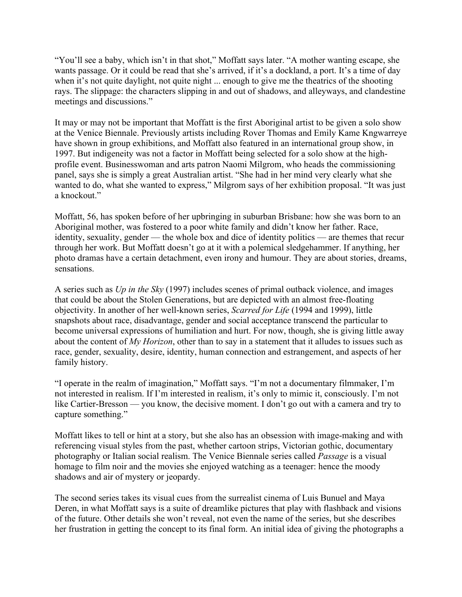"You'll see a baby, which isn't in that shot," Moffatt says later. "A mother wanting escape, she wants passage. Or it could be read that she's arrived, if it's a dockland, a port. It's a time of day when it's not quite daylight, not quite night ... enough to give me the theatrics of the shooting rays. The slippage: the characters slipping in and out of shadows, and alleyways, and clandestine meetings and discussions."

It may or may not be important that Moffatt is the first Aboriginal artist to be given a solo show at the Venice Biennale. Previously artists including Rover Thomas and Emily Kame Kngwarreye have shown in group exhibitions, and Moffatt also featured in an international group show, in 1997. But indigeneity was not a factor in Moffatt being selected for a solo show at the highprofile event. Businesswoman and arts patron Naomi Milgrom, who heads the commissioning panel, says she is simply a great Australian artist. "She had in her mind very clearly what she wanted to do, what she wanted to express," Milgrom says of her exhibition proposal. "It was just a knockout."

Moffatt, 56, has spoken before of her upbringing in suburban Brisbane: how she was born to an Aboriginal mother, was fostered to a poor white family and didn't know her father. Race, identity, sexuality, gender — the whole box and dice of identity politics — are themes that recur through her work. But Moffatt doesn't go at it with a polemical sledgehammer. If anything, her photo dramas have a certain detachment, even irony and humour. They are about stories, dreams, sensations.

A series such as *Up in the Sky* (1997) includes scenes of primal outback violence, and images that could be about the Stolen Generations, but are depicted with an almost free-floating objectivity. In another of her well-known series, *Scarred for Life* (1994 and 1999), little snapshots about race, disadvantage, gender and social acceptance transcend the particular to become universal expressions of humiliation and hurt. For now, though, she is giving little away about the content of *My Horizon*, other than to say in a statement that it alludes to issues such as race, gender, sexuality, desire, identity, human connection and estrangement, and aspects of her family history.

"I operate in the realm of imagination," Moffatt says. "I'm not a documentary filmmaker, I'm not interested in realism. If I'm interested in realism, it's only to mimic it, consciously. I'm not like Cartier-Bresson — you know, the decisive moment. I don't go out with a camera and try to capture something."

Moffatt likes to tell or hint at a story, but she also has an obsession with image-making and with referencing visual styles from the past, whether cartoon strips, Victorian gothic, documentary photography or Italian social realism. The Venice Biennale series called *Passage* is a visual homage to film noir and the movies she enjoyed watching as a teenager: hence the moody shadows and air of mystery or jeopardy.

The second series takes its visual cues from the surrealist cinema of Luis Bunuel and Maya Deren, in what Moffatt says is a suite of dreamlike pictures that play with flashback and visions of the future. Other details she won't reveal, not even the name of the series, but she describes her frustration in getting the concept to its final form. An initial idea of giving the photographs a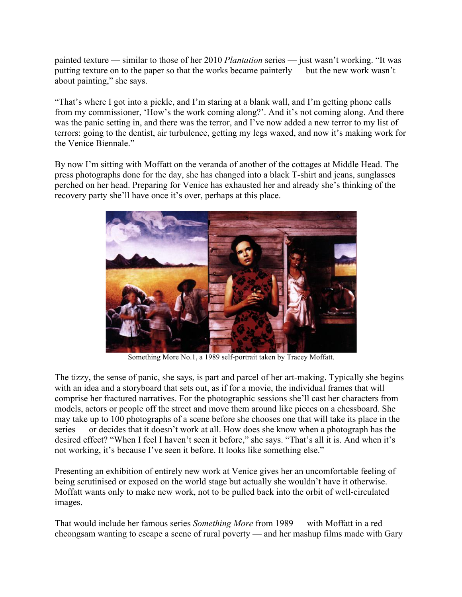painted texture — similar to those of her 2010 *Plantation* series — just wasn't working. "It was putting texture on to the paper so that the works became painterly — but the new work wasn't about painting," she says.

"That's where I got into a pickle, and I'm staring at a blank wall, and I'm getting phone calls from my commissioner, 'How's the work coming along?'. And it's not coming along. And there was the panic setting in, and there was the terror, and I've now added a new terror to my list of terrors: going to the dentist, air turbulence, getting my legs waxed, and now it's making work for the Venice Biennale."

By now I'm sitting with Moffatt on the veranda of another of the cottages at Middle Head. The press photographs done for the day, she has changed into a black T-shirt and jeans, sunglasses perched on her head. Preparing for Venice has exhausted her and already she's thinking of the recovery party she'll have once it's over, perhaps at this place.



Something More No.1, a 1989 self-portrait taken by Tracey Moffatt.

The tizzy, the sense of panic, she says, is part and parcel of her art-making. Typically she begins with an idea and a storyboard that sets out, as if for a movie, the individual frames that will comprise her fractured narratives. For the photographic sessions she'll cast her characters from models, actors or people off the street and move them around like pieces on a chessboard. She may take up to 100 photographs of a scene before she chooses one that will take its place in the series — or decides that it doesn't work at all. How does she know when a photograph has the desired effect? "When I feel I haven't seen it before," she says. "That's all it is. And when it's not working, it's because I've seen it before. It looks like something else."

Presenting an exhibition of entirely new work at Venice gives her an uncomfortable feeling of being scrutinised or exposed on the world stage but actually she wouldn't have it otherwise. Moffatt wants only to make new work, not to be pulled back into the orbit of well-circulated images.

That would include her famous series *Something More* from 1989 — with Moffatt in a red cheongsam wanting to escape a scene of rural poverty — and her mashup films made with Gary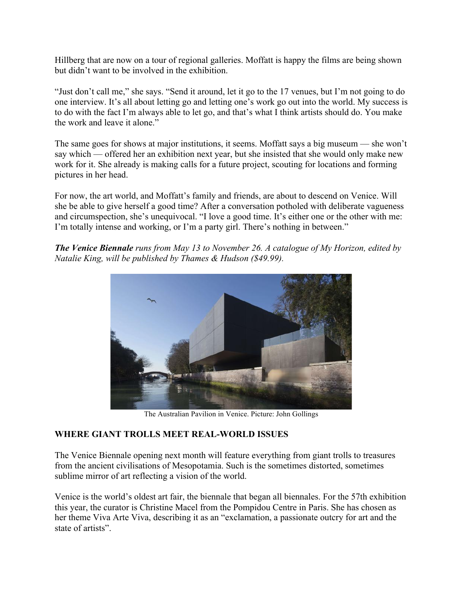Hillberg that are now on a tour of regional galleries. Moffatt is happy the films are being shown but didn't want to be involved in the exhibition.

"Just don't call me," she says. "Send it around, let it go to the 17 venues, but I'm not going to do one interview. It's all about letting go and letting one's work go out into the world. My success is to do with the fact I'm always able to let go, and that's what I think artists should do. You make the work and leave it alone."

The same goes for shows at major institutions, it seems. Moffatt says a big museum — she won't say which — offered her an exhibition next year, but she insisted that she would only make new work for it. She already is making calls for a future project, scouting for locations and forming pictures in her head.

For now, the art world, and Moffatt's family and friends, are about to descend on Venice. Will she be able to give herself a good time? After a conversation potholed with deliberate vagueness and circumspection, she's unequivocal. "I love a good time. It's either one or the other with me: I'm totally intense and working, or I'm a party girl. There's nothing in between."

*The Venice Biennale runs from May 13 to November 26. A catalogue of My Horizon, edited by Natalie King, will be published by Thames & Hudson (\$49.99).*



The Australian Pavilion in Venice. Picture: John Gollings

## **WHERE GIANT TROLLS MEET REAL-WORLD ISSUES**

The Venice Biennale opening next month will feature everything from giant trolls to treasures from the ancient civilisations of Mesopotamia. Such is the sometimes distorted, sometimes sublime mirror of art reflecting a vision of the world.

Venice is the world's oldest art fair, the biennale that began all biennales. For the 57th exhibition this year, the curator is Christine Macel from the Pompidou Centre in Paris. She has chosen as her theme Viva Arte Viva, describing it as an "exclamation, a passionate outcry for art and the state of artists".